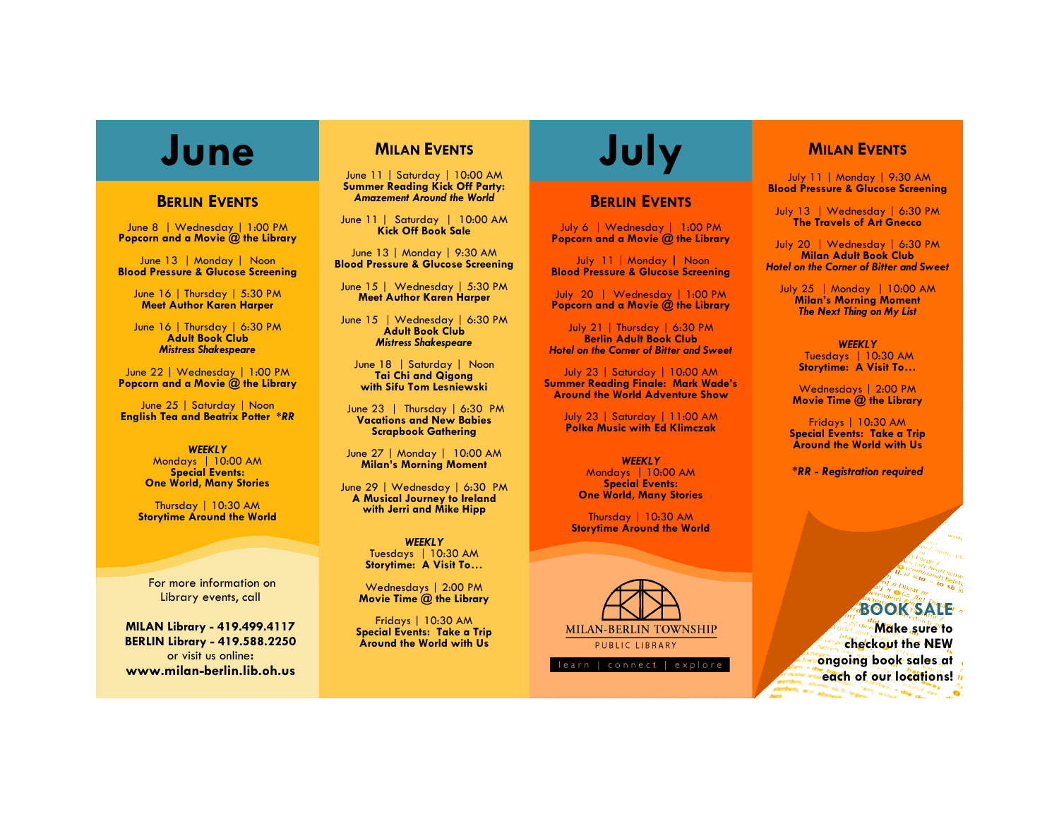## **BERLIN EVENTS**

June 8 | Wednesday | 1:00 PM **Popcorn and a Movie @ the Library**

June 13 | Monday | Noon **Blood Pressure & Glucose Screening** 

June 16 | Thursday | 5:30 PM **Meet Author Karen Harper**

June 16 | Thursday | 6:30 PM **Adult Book Club** *Mistress Shakespeare*

June 22 | Wednesday | 1:00 PM **Popcorn and a Movie @ the Library**

June 25 | Saturday | Noon **English Tea and Beatrix Potter \****RR*

> *WEEKLY* Mondays | 10:00 AM **Special Events: One World, Many Stories**

Thursday | 10:30 AM **Storytime Around the World** 

For more information on Library events, call

**MILAN Library - 419.499.4117 BERLIN Library - 419.588.2250** or visit us online**: www.milan-berlin.lib.oh.us**

# **MILAN EVENTS**

June 11 | Saturday | 10:00 AM **Summer Reading Kick Off Party:** *Amazement Around the World*

June 11 | Saturday | 10:00 AM **Kick Off Book Sale**

June 13 | Monday | 9:30 AM **Blood Pressure & Glucose Screening**

June 15 | Wednesday | 5:30 PM **Meet Author Karen Harper**

June 15 | Wednesday | 6:30 PM **Adult Book Club** *Mistress Shakespeare*

June 18 | Saturday | Noon **Tai Chi and Qigong with Sifu Tom Lesniewski**

June 23 | Thursday | 6:30 PM **Vacations and New Babies Scrapbook Gathering**

June 27 | Monday | 10:00 AM **Milan's Morning Moment**

June 29 | Wednesday | 6:30 PM **A Musical Journey to Ireland with Jerri and Mike Hipp**

> *WEEKLY* Tuesdays | 10:30 AM **Storytime: A Visit To…**

Wednesdays | 2:00 PM **Movie Time @ the Library**

Fridays | 10:30 AM **Special Events: Take a Trip Around the World with Us**

# **June MILAN EVENTS** July

### **BERLIN EVENTS**

July 6 | Wednesday | 1:00 PM **Popcorn and a Movie @ the Library**

July 11 | Monday **|** Noon **Blood Pressure & Glucose Screening**

July 20 | Wednesday | 1:00 PM **Popcorn and a Movie @ the Library**

July 21 | Thursday | 6:30 PM **Berlin Adult Book Club** *Hotel on the Corner of Bitter and Sweet*

July 23 | Saturday | 10:00 AM **Summer Reading Finale: Mark Wade's Around the World Adventure Show**

> July 23 | Saturday | 11:00 AM **Polka Music with Ed Klimczak**

*WEEKLY* Mondays | 10:00 AM **Special Events: One World, Many Stories**

Thursday | 10:30 AM **Storytime Around the World** 



# **MILAN EVENTS**

July 11 | Monday | 9:30 AM **Blood Pressure & Glucose Screening**

July 13 | Wednesday | 6:30 PM **The Travels of Art Gnecco** 

July 20 | Wednesday | 6:30 PM **Milan Adult Book Club** *Hotel on the Corner of Bitter and Sweet*

July 25 | Monday | 10:00 AM **Milan's Morning Moment** *The Next Thing on My List*

> *WEEKLY* Tuesdays | 10:30 AM **Storytime: A Visit To…**

Wednesdays | 2:00 PM **Movie Time @ the Library**

Fridays | 10:30 AM **Special Events: Take a Trip Around the World with Us**

*\*RR - Registration required*

# **BOOK SALE**

**Make sure to checkout the NEW ongoing book sales at each of our locations!**